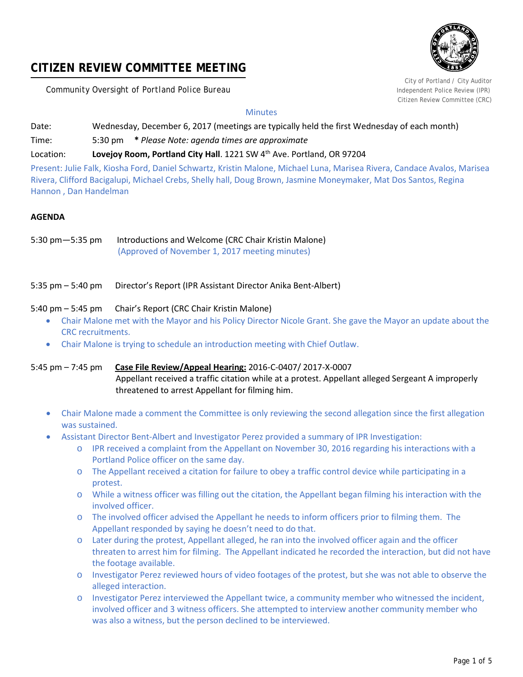# **CITIZEN REVIEW COMMITTEE MEETING**

**Community Oversight of Portland Police Bureau Independent Police Review (IPR) Independent Police Review (IPR)** 



City of Portland / City Auditor Citizen Review Committee (CRC)

## **Minutes**

- Date: Wednesday, December 6, 2017 (meetings are typically held the first Wednesday of each month)
- Time: 5:30 pm **\*** *Please Note: agenda times are approximate*

## Location: **Lovejoy Room, Portland City Hall**. 1221 SW 4<sup>th</sup> Ave. Portland, OR 97204

Present: Julie Falk, Kiosha Ford, Daniel Schwartz, Kristin Malone, Michael Luna, Marisea Rivera, Candace Avalos, Marisea Rivera, Clifford Bacigalupi, Michael Crebs, Shelly hall, Doug Brown, Jasmine Moneymaker, Mat Dos Santos, Regina Hannon , Dan Handelman

## **AGENDA**

5:30 pm—5:35 pm Introductions and Welcome (CRC Chair Kristin Malone) (Approved of November 1, 2017 meeting minutes)

5:35 pm – 5:40 pm Director's Report (IPR Assistant Director Anika Bent-Albert)

## 5:40 pm – 5:45 pm Chair's Report (CRC Chair Kristin Malone)

- Chair Malone met with the Mayor and his Policy Director Nicole Grant. She gave the Mayor an update about the CRC recruitments.
- Chair Malone is trying to schedule an introduction meeting with Chief Outlaw.

5:45 pm – 7:45 pm **Case File Review/Appeal Hearing:** 2016-C-0407/ 2017-X-0007 Appellant received a traffic citation while at a protest. Appellant alleged Sergeant A improperly threatened to arrest Appellant for filming him.

- Chair Malone made a comment the Committee is only reviewing the second allegation since the first allegation was sustained.
- Assistant Director Bent-Albert and Investigator Perez provided a summary of IPR Investigation:
	- o IPR received a complaint from the Appellant on November 30, 2016 regarding his interactions with a Portland Police officer on the same day.
	- o The Appellant received a citation for failure to obey a traffic control device while participating in a protest.
	- o While a witness officer was filling out the citation, the Appellant began filming his interaction with the involved officer.
	- o The involved officer advised the Appellant he needs to inform officers prior to filming them. The Appellant responded by saying he doesn't need to do that.
	- o Later during the protest, Appellant alleged, he ran into the involved officer again and the officer threaten to arrest him for filming. The Appellant indicated he recorded the interaction, but did not have the footage available.
	- o Investigator Perez reviewed hours of video footages of the protest, but she was not able to observe the alleged interaction.
	- o Investigator Perez interviewed the Appellant twice, a community member who witnessed the incident, involved officer and 3 witness officers. She attempted to interview another community member who was also a witness, but the person declined to be interviewed.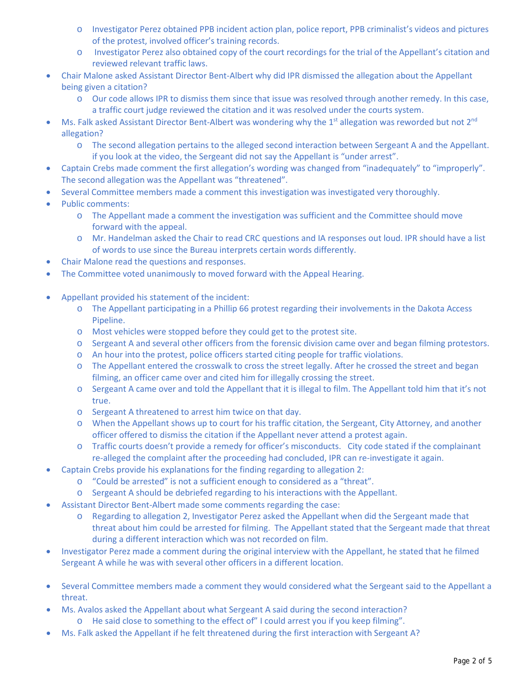- o Investigator Perez obtained PPB incident action plan, police report, PPB criminalist's videos and pictures of the protest, involved officer's training records.
- o Investigator Perez also obtained copy of the court recordings for the trial of the Appellant's citation and reviewed relevant traffic laws.
- Chair Malone asked Assistant Director Bent-Albert why did IPR dismissed the allegation about the Appellant being given a citation?
	- o Our code allows IPR to dismiss them since that issue was resolved through another remedy. In this case, a traffic court judge reviewed the citation and it was resolved under the courts system.
- Ms. Falk asked Assistant Director Bent-Albert was wondering why the 1<sup>st</sup> allegation was reworded but not 2<sup>nd</sup> allegation?
	- o The second allegation pertains to the alleged second interaction between Sergeant A and the Appellant. if you look at the video, the Sergeant did not say the Appellant is "under arrest".
- Captain Crebs made comment the first allegation's wording was changed from "inadequately" to "improperly". The second allegation was the Appellant was "threatened".
- Several Committee members made a comment this investigation was investigated very thoroughly.
- Public comments:
	- o The Appellant made a comment the investigation was sufficient and the Committee should move forward with the appeal.
	- o Mr. Handelman asked the Chair to read CRC questions and IA responses out loud. IPR should have a list of words to use since the Bureau interprets certain words differently.
- Chair Malone read the questions and responses.
- The Committee voted unanimously to moved forward with the Appeal Hearing.
- Appellant provided his statement of the incident:
	- o The Appellant participating in a Phillip 66 protest regarding their involvements in the Dakota Access Pipeline.
	- o Most vehicles were stopped before they could get to the protest site.
	- o Sergeant A and several other officers from the forensic division came over and began filming protestors.
	- o An hour into the protest, police officers started citing people for traffic violations.
	- o The Appellant entered the crosswalk to cross the street legally. After he crossed the street and began filming, an officer came over and cited him for illegally crossing the street.
	- o Sergeant A came over and told the Appellant that it is illegal to film. The Appellant told him that it's not true.
	- o Sergeant A threatened to arrest him twice on that day.
	- o When the Appellant shows up to court for his traffic citation, the Sergeant, City Attorney, and another officer offered to dismiss the citation if the Appellant never attend a protest again.
	- o Traffic courts doesn't provide a remedy for officer's misconducts. City code stated if the complainant re-alleged the complaint after the proceeding had concluded, IPR can re-investigate it again.
- Captain Crebs provide his explanations for the finding regarding to allegation 2:
	- o "Could be arrested" is not a sufficient enough to considered as a "threat".
	- o Sergeant A should be debriefed regarding to his interactions with the Appellant.
- Assistant Director Bent-Albert made some comments regarding the case:
	- o Regarding to allegation 2, Investigator Perez asked the Appellant when did the Sergeant made that threat about him could be arrested for filming. The Appellant stated that the Sergeant made that threat during a different interaction which was not recorded on film.
- Investigator Perez made a comment during the original interview with the Appellant, he stated that he filmed Sergeant A while he was with several other officers in a different location.
- Several Committee members made a comment they would considered what the Sergeant said to the Appellant a threat.
- Ms. Avalos asked the Appellant about what Sergeant A said during the second interaction? o He said close to something to the effect of" I could arrest you if you keep filming".
- Ms. Falk asked the Appellant if he felt threatened during the first interaction with Sergeant A?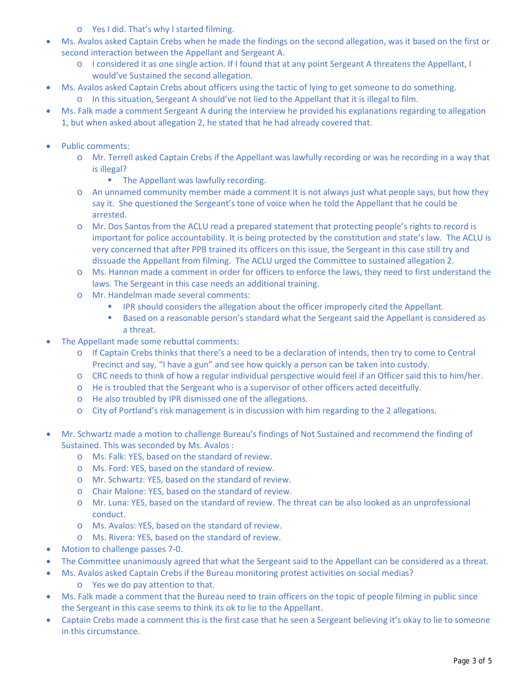- o Yes I did. That's why I started filming.
- Ms. Avalos asked Captain Crebs when he made the findings on the second allegation, was it based on the first or second interaction between the Appellant and Sergeant A.
	- o I considered it as one single action. If I found that at any point Sergeant A threatens the Appellant, I would've Sustained the second allegation.
- Ms. Avalos asked Captain Crebs about officers using the tactic of lying to get someone to do something. o In this situation, Sergeant A should've not lied to the Appellant that it is illegal to film.
- Ms. Falk made a comment Sergeant A during the interview he provided his explanations regarding to allegation 1, but when asked about allegation 2, he stated that he had already covered that.
- Public comments:
	- o Mr. Terrell asked Captain Crebs if the Appellant was lawfully recording or was he recording in a way that is illegal?
		- The Appellant was lawfully recording.
	- o An unnamed community member made a comment it is not always just what people says, but how they say it. She questioned the Sergeant's tone of voice when he told the Appellant that he could be arrested.
	- o Mr. Dos Santos from the ACLU read a prepared statement that protecting people's rights to record is important for police accountability. It is being protected by the constitution and state's law. The ACLU is very concerned that after PPB trained its officers on this issue, the Sergeant in this case still try and dissuade the Appellant from filming. The ACLU urged the Committee to sustained allegation 2.
	- o Ms. Hannon made a comment in order for officers to enforce the laws, they need to first understand the laws. The Sergeant in this case needs an additional training.
	- o Mr. Handelman made several comments:
		- **IPR should considers the allegation about the officer improperly cited the Appellant.**
		- **Based on a reasonable person's standard what the Sergeant said the Appellant is considered as** a threat.
- The Appellant made some rebuttal comments:
	- o If Captain Crebs thinks that there's a need to be a declaration of intends, then try to come to Central Precinct and say, "I have a gun" and see how quickly a person can be taken into custody.
	- o CRC needs to think of how a regular individual perspective would feel if an Officer said this to him/her.
	- o He is troubled that the Sergeant who is a supervisor of other officers acted deceitfully.
	- o He also troubled by IPR dismissed one of the allegations.
	- o City of Portland's risk management is in discussion with him regarding to the 2 allegations.
- Mr. Schwartz made a motion to challenge Bureau's findings of Not Sustained and recommend the finding of Sustained. This was seconded by Ms. Avalos :
	- o Ms. Falk: YES, based on the standard of review.
	- o Ms. Ford: YES, based on the standard of review.
	- o Mr. Schwartz: YES, based on the standard of review.
	- o Chair Malone: YES, based on the standard of review.
	- o Mr. Luna: YES, based on the standard of review. The threat can be also looked as an unprofessional conduct.
	- o Ms. Avalos: YES, based on the standard of review.
	- o Ms. Rivera: YES, based on the standard of review.
- Motion to challenge passes 7-0.
- The Committee unanimously agreed that what the Sergeant said to the Appellant can be considered as a threat.
- Ms. Avalos asked Captain Crebs if the Bureau monitoring protest activities on social medias?
	- o Yes we do pay attention to that.
- Ms. Falk made a comment that the Bureau need to train officers on the topic of people filming in public since the Sergeant in this case seems to think its ok to lie to the Appellant.
- Captain Crebs made a comment this is the first case that he seen a Sergeant believing it's okay to lie to someone in this circumstance.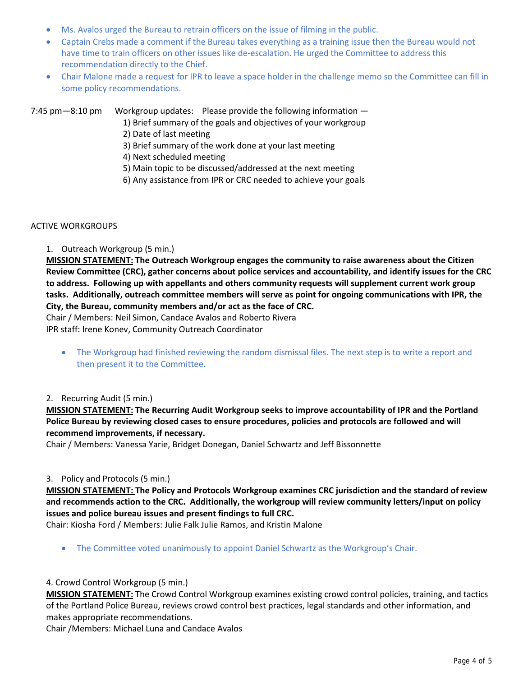- Ms. Avalos urged the Bureau to retrain officers on the issue of filming in the public.
- Captain Crebs made a comment if the Bureau takes everything as a training issue then the Bureau would not have time to train officers on other issues like de-escalation. He urged the Committee to address this recommendation directly to the Chief.
- Chair Malone made a request for IPR to leave a space holder in the challenge memo so the Committee can fill in some policy recommendations.

7:45 pm—8:10 pm Workgroup updates: Please provide the following information —

- 1) Brief summary of the goals and objectives of your workgroup
- 2) Date of last meeting
- 3) Brief summary of the work done at your last meeting
- 4) Next scheduled meeting
- 5) Main topic to be discussed/addressed at the next meeting
- 6) Any assistance from IPR or CRC needed to achieve your goals

### ACTIVE WORKGROUPS

1. Outreach Workgroup (5 min.)

**MISSION STATEMENT: The Outreach Workgroup engages the community to raise awareness about the Citizen Review Committee (CRC), gather concerns about police services and accountability, and identify issues for the CRC to address. Following up with appellants and others community requests will supplement current work group tasks. Additionally, outreach committee members will serve as point for ongoing communications with IPR, the City, the Bureau, community members and/or act as the face of CRC.**

Chair / Members: Neil Simon, Candace Avalos and Roberto Rivera

IPR staff: Irene Konev, Community Outreach Coordinator

• The Workgroup had finished reviewing the random dismissal files. The next step is to write a report and then present it to the Committee.

## 2. Recurring Audit (5 min.)

**MISSION STATEMENT: The Recurring Audit Workgroup seeks to improve accountability of IPR and the Portland Police Bureau by reviewing closed cases to ensure procedures, policies and protocols are followed and will recommend improvements, if necessary.**

Chair / Members: Vanessa Yarie, Bridget Donegan, Daniel Schwartz and Jeff Bissonnette

## 3. Policy and Protocols (5 min.)

**MISSION STATEMENT: The Policy and Protocols Workgroup examines CRC jurisdiction and the standard of review and recommends action to the CRC. Additionally, the workgroup will review community letters/input on policy issues and police bureau issues and present findings to full CRC.**

Chair: Kiosha Ford / Members: Julie Falk Julie Ramos, and Kristin Malone

• The Committee voted unanimously to appoint Daniel Schwartz as the Workgroup's Chair.

#### 4. Crowd Control Workgroup (5 min.)

**MISSION STATEMENT:** The Crowd Control Workgroup examines existing crowd control policies, training, and tactics of the Portland Police Bureau, reviews crowd control best practices, legal standards and other information, and makes appropriate recommendations.

Chair /Members: Michael Luna and Candace Avalos